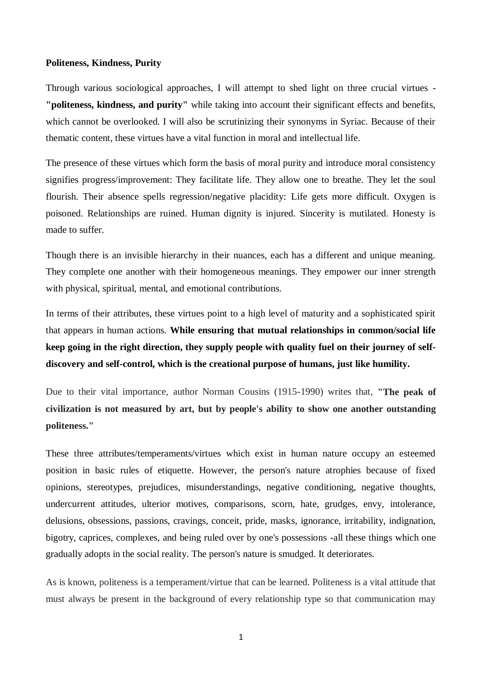## **Politeness, Kindness, Purity**

Through various sociological approaches, I will attempt to shed light on three crucial virtues - **"politeness, kindness, and purity"** while taking into account their significant effects and benefits, which cannot be overlooked. I will also be scrutinizing their synonyms in Syriac. Because of their thematic content, these virtues have a vital function in moral and intellectual life.

The presence of these virtues which form the basis of moral purity and introduce moral consistency signifies progress/improvement: They facilitate life. They allow one to breathe. They let the soul flourish. Their absence spells regression/negative placidity: Life gets more difficult. Oxygen is poisoned. Relationships are ruined. Human dignity is injured. Sincerity is mutilated. Honesty is made to suffer.

Though there is an invisible hierarchy in their nuances, each has a different and unique meaning. They complete one another with their homogeneous meanings. They empower our inner strength with physical, spiritual, mental, and emotional contributions.

In terms of their attributes, these virtues point to a high level of maturity and a sophisticated spirit that appears in human actions. **While ensuring that mutual relationships in common/social life keep going in the right direction, they supply people with quality fuel on their journey of selfdiscovery and self-control, which is the creational purpose of humans, just like humility.**

Due to their vital importance, author Norman Cousins (1915-1990) writes that, **"The peak of civilization is not measured by art, but by people's ability to show one another outstanding politeness."**

These three attributes/temperaments/virtues which exist in human nature occupy an esteemed position in basic rules of etiquette. However, the person's nature atrophies because of fixed opinions, stereotypes, prejudices, misunderstandings, negative conditioning, negative thoughts, undercurrent attitudes, ulterior motives, comparisons, scorn, hate, grudges, envy, intolerance, delusions, obsessions, passions, cravings, conceit, pride, masks, ignorance, irritability, indignation, bigotry, caprices, complexes, and being ruled over by one's possessions -all these things which one gradually adopts in the social reality. The person's nature is smudged. It deteriorates.

As is known, politeness is a temperament/virtue that can be learned. Politeness is a vital attitude that must always be present in the background of every relationship type so that communication may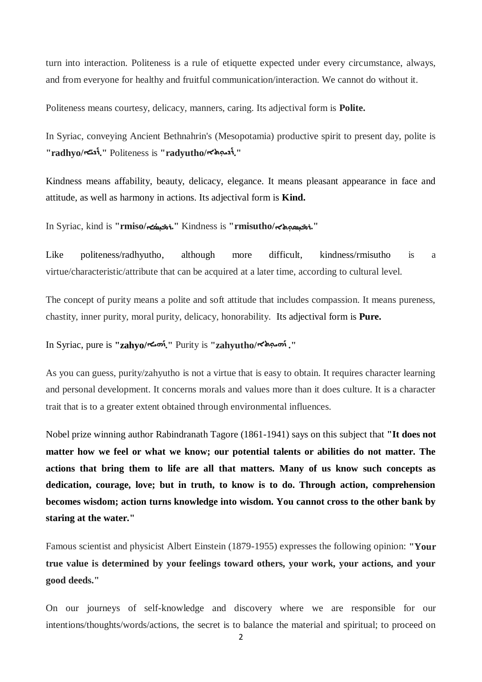turn into interaction. Politeness is a rule of etiquette expected under every circumstance, always, and from everyone for healthy and fruitful communication/interaction. We cannot do without it.

Politeness means courtesy, delicacy, manners, caring. Its adjectival form is **Polite.**

In Syriac, conveying Ancient Bethnahrin's (Mesopotamia) productive spirit to present day, polite is "radhyo/ المجمّة " Politeness is "radyutho/ المجمّة "radhyo

Kindness means affability, beauty, delicacy, elegance. It means pleasant appearance in face and attitude, as well as harmony in actions. Its adjectival form is **Kind.**

In Syriac, kind is **"rmiso/**ܐ ܼܝܣܳ ܼܝܣ ܼܘܬܐ**/rmisutho "**is Kindness**" .**ܪܡܺ  **".**ܪܡܺ

Like politeness/radhyutho, although more difficult, kindness/rmisutho is a virtue/characteristic/attribute that can be acquired at a later time, according to cultural level.

The concept of purity means a polite and soft attitude that includes compassion. It means pureness, chastity, inner purity, moral purity, delicacy, honorability. Its adjectival form is **Pure.**

## In Syriac, pure is **"zahyo/**ܗܝܐ ܰ ܙ **."** Purity is **"zahyutho/**ܘܬܐܼ ܗܝ ܰ ܙ **."**

As you can guess, purity/zahyutho is not a virtue that is easy to obtain. It requires character learning and personal development. It concerns morals and values more than it does culture. It is a character trait that is to a greater extent obtained through environmental influences.

Nobel prize winning author Rabindranath Tagore (1861-1941) says on this subject that **"It does not matter how we feel or what we know; our potential talents or abilities do not matter. The actions that bring them to life are all that matters. Many of us know such concepts as dedication, courage, love; but in truth, to know is to do. Through action, comprehension becomes wisdom; action turns knowledge into wisdom. You cannot cross to the other bank by staring at the water."**

Famous scientist and physicist Albert Einstein (1879-1955) expresses the following opinion: **"Your true value is determined by your feelings toward others, your work, your actions, and your good deeds."**

On our journeys of self-knowledge and discovery where we are responsible for our intentions/thoughts/words/actions, the secret is to balance the material and spiritual; to proceed on